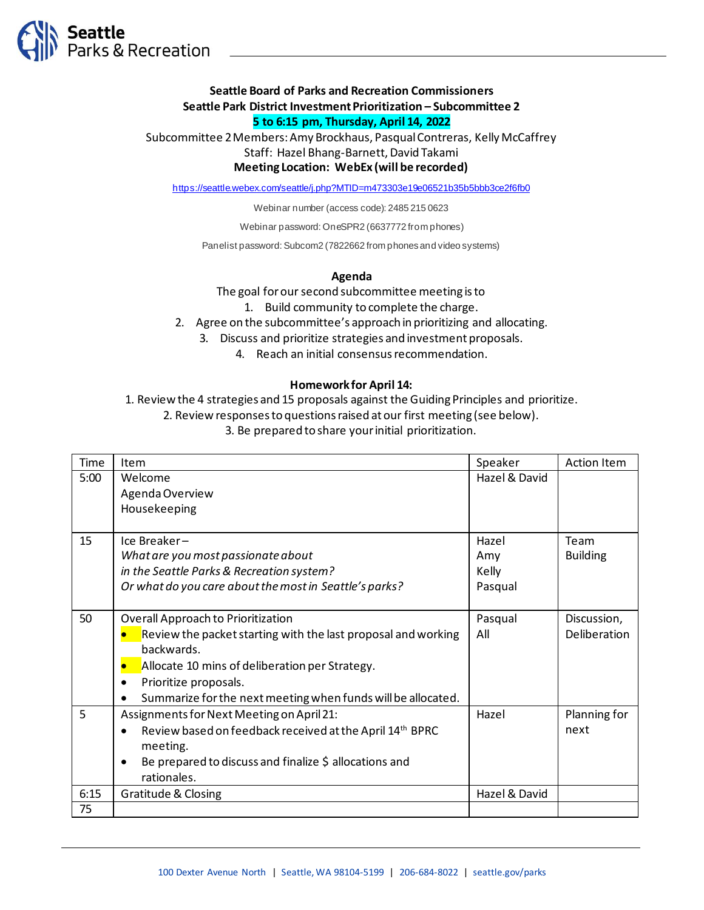

# **Seattle Board of Parks and Recreation Commissioners Seattle Park District Investment Prioritization – Subcommittee 2**

# **5 to 6:15 pm, Thursday, April 14, 2022**

Subcommittee 2 Members: Amy Brockhaus, Pasqual Contreras, Kelly McCaffrey Staff: Hazel Bhang-Barnett, David Takami **Meeting Location: WebEx (will be recorded)**

https://seattle.webex.com/seattle/j.php?MTID=m473303e19e06521b35b5bbb3ce2f6fb0

Webinar number (access code): 2485 215 0623

Webinar password: OneSPR2 (6637772 from phones)

Panelist password: Subcom2 (7822662 from phones and video systems)

#### **Agenda**

The goal for our second subcommittee meeting is to

- 1. Build community to complete the charge.
- 2. Agree on the subcommittee's approach in prioritizing and allocating.
	- 3. Discuss and prioritize strategies and investment proposals.
		- 4. Reach an initial consensus recommendation.

#### **Homework for April 14:**

1. Review the 4 strategies and 15 proposals against the Guiding Principles and prioritize.

2. Review responses to questions raised at our first meeting (see below).

3. Be prepared to share your initial prioritization.

| Time | Item                                                          | Speaker       | <b>Action Item</b> |
|------|---------------------------------------------------------------|---------------|--------------------|
| 5:00 | Welcome                                                       | Hazel & David |                    |
|      | Agenda Overview                                               |               |                    |
|      | Housekeeping                                                  |               |                    |
|      |                                                               |               |                    |
| 15   | Ice Breaker-                                                  | Hazel         | Team               |
|      | What are you most passionate about                            | Amy           | <b>Building</b>    |
|      | in the Seattle Parks & Recreation system?                     | Kelly         |                    |
|      | Or what do you care about the most in Seattle's parks?        | Pasqual       |                    |
|      |                                                               |               |                    |
| 50   | Overall Approach to Prioritization                            | Pasqual       | Discussion,        |
|      | Review the packet starting with the last proposal and working | All           | Deliberation       |
|      | backwards.                                                    |               |                    |
|      | Allocate 10 mins of deliberation per Strategy.                |               |                    |
|      | Prioritize proposals.                                         |               |                    |
|      | Summarize for the next meeting when funds will be allocated.  |               |                    |
| 5    | Assignments for Next Meeting on April 21:                     | Hazel         | Planning for       |
|      | Review based on feedback received at the April 14th BPRC      |               | next               |
|      | meeting.                                                      |               |                    |
|      | Be prepared to discuss and finalize \$ allocations and        |               |                    |
|      | rationales.                                                   |               |                    |
| 6:15 | <b>Gratitude &amp; Closing</b>                                | Hazel & David |                    |
| 75   |                                                               |               |                    |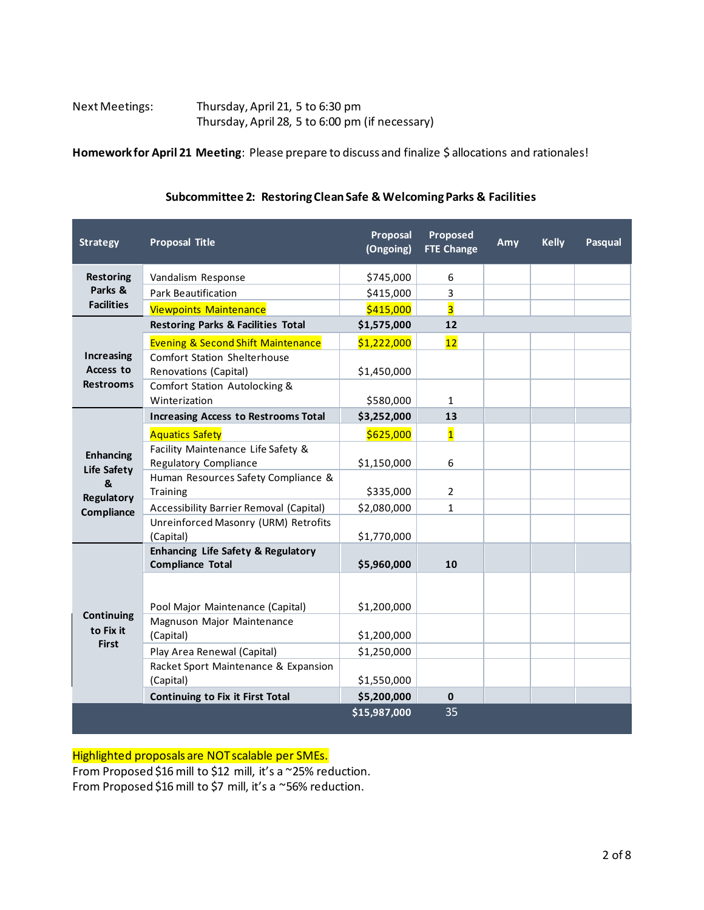| Next Meetings: | Thursday, April 21, 5 to 6:30 pm                |
|----------------|-------------------------------------------------|
|                | Thursday, April 28, 5 to 6:00 pm (if necessary) |

**Homework for April 21 Meeting**: Please prepare to discuss and finalize \$ allocations and rationales!

|  | Subcommittee 2: Restoring Clean Safe & Welcoming Parks & Facilities |  |  |
|--|---------------------------------------------------------------------|--|--|
|--|---------------------------------------------------------------------|--|--|

| <b>Strategy</b>                                    | <b>Proposal Title</b>                                                    | Proposal<br>(Ongoing) | Proposed<br><b>FTE Change</b> | Amy | <b>Kelly</b> | Pasqual |
|----------------------------------------------------|--------------------------------------------------------------------------|-----------------------|-------------------------------|-----|--------------|---------|
| <b>Restoring</b>                                   | Vandalism Response                                                       | \$745,000             | 6                             |     |              |         |
| Parks &                                            | <b>Park Beautification</b>                                               | \$415,000             | 3                             |     |              |         |
| <b>Facilities</b>                                  | <b>Viewpoints Maintenance</b>                                            | \$415,000             | $\overline{\mathbf{3}}$       |     |              |         |
|                                                    | <b>Restoring Parks &amp; Facilities Total</b>                            | \$1,575,000           | 12                            |     |              |         |
|                                                    | <b>Evening &amp; Second Shift Maintenance</b>                            | \$1,222,000           | 12                            |     |              |         |
| <b>Increasing</b><br>Access to<br><b>Restrooms</b> | <b>Comfort Station Shelterhouse</b><br>Renovations (Capital)             | \$1,450,000           |                               |     |              |         |
|                                                    | Comfort Station Autolocking &<br>Winterization                           | \$580,000             | 1                             |     |              |         |
|                                                    | <b>Increasing Access to Restrooms Total</b>                              | \$3,252,000           | 13                            |     |              |         |
|                                                    | <b>Aquatics Safety</b>                                                   | \$625,000             | $\overline{\mathbf{1}}$       |     |              |         |
| <b>Enhancing</b><br><b>Life Safety</b>             | Facility Maintenance Life Safety &<br>Regulatory Compliance              | \$1,150,000           | 6                             |     |              |         |
| &<br>Regulatory                                    | Human Resources Safety Compliance &<br>Training                          | \$335,000             | $\overline{2}$                |     |              |         |
| Compliance                                         | Accessibility Barrier Removal (Capital)                                  | \$2,080,000           | 1                             |     |              |         |
|                                                    | Unreinforced Masonry (URM) Retrofits<br>(Capital)                        | \$1,770,000           |                               |     |              |         |
|                                                    | <b>Enhancing Life Safety &amp; Regulatory</b><br><b>Compliance Total</b> | \$5,960,000           | 10                            |     |              |         |
| <b>Continuing</b>                                  | Pool Major Maintenance (Capital)                                         | \$1,200,000           |                               |     |              |         |
| to Fix it                                          | Magnuson Major Maintenance<br>(Capital)                                  | \$1,200,000           |                               |     |              |         |
| <b>First</b>                                       | Play Area Renewal (Capital)                                              | \$1,250,000           |                               |     |              |         |
|                                                    | Racket Sport Maintenance & Expansion<br>(Capital)                        | \$1,550,000           |                               |     |              |         |
|                                                    | <b>Continuing to Fix it First Total</b>                                  | \$5,200,000           | $\bf{0}$                      |     |              |         |
|                                                    |                                                                          | \$15,987,000          | 35                            |     |              |         |

Highlighted proposals are NOT scalable per SMEs.

From Proposed \$16 mill to \$12 mill, it's a ~25% reduction.

From Proposed \$16 mill to \$7 mill, it's a ~56% reduction.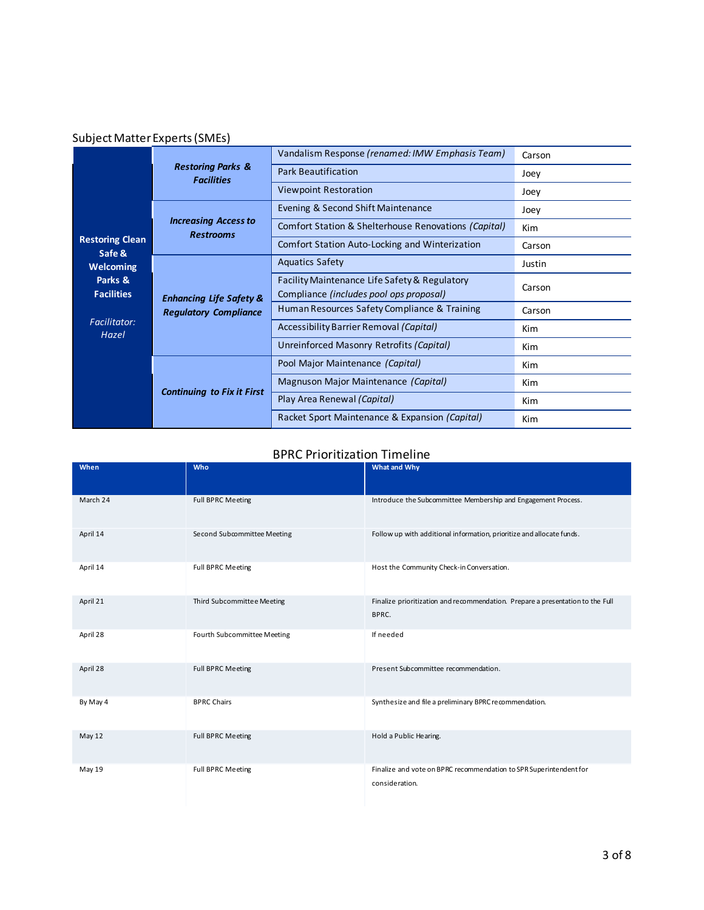## Subject Matter Experts (SMEs)**#2**

|                                  | <b>Restoring Parks &amp;</b><br><b>Facilities</b>                  | Vandalism Response (renamed: IMW Emphasis Team)                                          | Carson     |
|----------------------------------|--------------------------------------------------------------------|------------------------------------------------------------------------------------------|------------|
|                                  |                                                                    | <b>Park Beautification</b>                                                               | Joey       |
|                                  |                                                                    | <b>Viewpoint Restoration</b>                                                             | Joey       |
|                                  |                                                                    | Evening & Second Shift Maintenance                                                       | Joey       |
|                                  | <b>Increasing Access to</b><br><b>Restrooms</b>                    | Comfort Station & Shelterhouse Renovations (Capital)                                     | <b>Kim</b> |
| <b>Restoring Clean</b><br>Safe & |                                                                    | Comfort Station Auto-Locking and Winterization                                           | Carson     |
| <b>Welcoming</b>                 | <b>Enhancing Life Safety &amp;</b><br><b>Regulatory Compliance</b> | <b>Aquatics Safety</b>                                                                   | Justin     |
| Parks &<br><b>Facilities</b>     |                                                                    | Facility Maintenance Life Safety & Regulatory<br>Compliance (includes pool ops proposal) | Carson     |
|                                  |                                                                    | Human Resources Safety Compliance & Training                                             | Carson     |
| <b>Facilitator:</b><br>Hazel     |                                                                    | Accessibility Barrier Removal (Capital)                                                  | Kim        |
|                                  |                                                                    | Unreinforced Masonry Retrofits (Capital)                                                 | <b>Kim</b> |
|                                  |                                                                    | Pool Major Maintenance (Capital)                                                         | <b>Kim</b> |
|                                  |                                                                    | Magnuson Major Maintenance (Capital)                                                     | Kim        |
|                                  | <b>Continuing to Fix it First</b>                                  | Play Area Renewal (Capital)                                                              | <b>Kim</b> |
|                                  |                                                                    | Racket Sport Maintenance & Expansion (Capital)                                           | <b>Kim</b> |

### BPRC Prioritization Timeline

| When     | Who                         | What and Why                                                                            |
|----------|-----------------------------|-----------------------------------------------------------------------------------------|
|          |                             |                                                                                         |
| March 24 | <b>Full BPRC Meeting</b>    | Introduce the Subcommittee Membership and Engagement Process.                           |
| April 14 | Second Subcommittee Meeting | Follow up with additional information, prioritize and allocate funds.                   |
| April 14 | <b>Full BPRC Meeting</b>    | Host the Community Check-in Conversation.                                               |
| April 21 | Third Subcommittee Meeting  | Finalize prioritization and recommendation. Prepare a presentation to the Full<br>BPRC. |
| April 28 | Fourth Subcommittee Meeting | If needed                                                                               |
| April 28 | <b>Full BPRC Meeting</b>    | Present Subcommittee recommendation.                                                    |
| By May 4 | <b>BPRC Chairs</b>          | Synthesize and file a preliminary BPRC recommendation.                                  |
| May 12   | <b>Full BPRC Meeting</b>    | Hold a Public Hearing.                                                                  |
| May 19   | <b>Full BPRC Meeting</b>    | Finalize and vote on BPRC recommendation to SPR Superintendent for<br>consideration.    |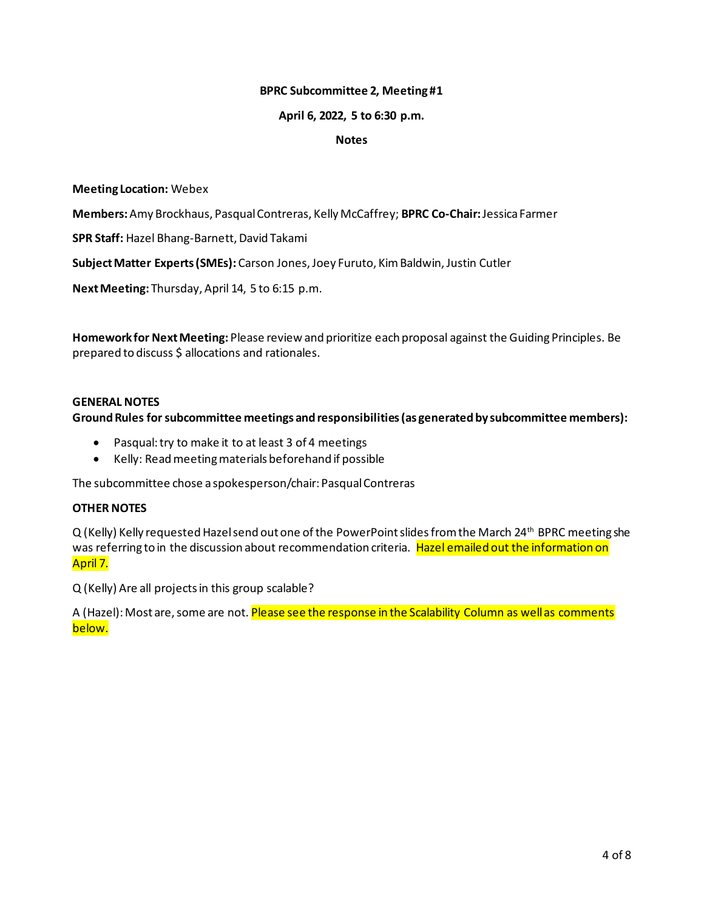#### **BPRC Subcommittee 2, Meeting #1**

#### **April 6, 2022, 5 to 6:30 p.m.**

#### **Notes**

#### **Meeting Location:** Webex

**Members:**Amy Brockhaus, Pasqual Contreras, Kelly McCaffrey; **BPRC Co-Chair:**Jessica Farmer

**SPR Staff:** Hazel Bhang-Barnett, David Takami

**Subject Matter Experts (SMEs):** Carson Jones, Joey Furuto, Kim Baldwin, Justin Cutler

**Next Meeting:** Thursday, April 14, 5 to 6:15 p.m.

**Homework for Next Meeting:** Please review and prioritize each proposal against the Guiding Principles. Be prepared to discuss \$ allocations and rationales.

#### **GENERAL NOTES**

**Ground Rules for subcommittee meetings and responsibilities (as generated by subcommittee members):**

- Pasqual: try to make it to at least 3 of 4 meetings
- Kelly: Read meeting materials beforehand if possible

The subcommittee chose a spokesperson/chair: Pasqual Contreras

#### **OTHER NOTES**

Q (Kelly) Kelly requested Hazel send out one of the PowerPoint slides from the March 24<sup>th</sup> BPRC meeting she was referring to in the discussion about recommendation criteria. Hazel emailed out the information on April 7.

Q (Kelly) Are all projects in this group scalable?

A (Hazel): Most are, some are not. Please see the response in the Scalability Column as well as comments below.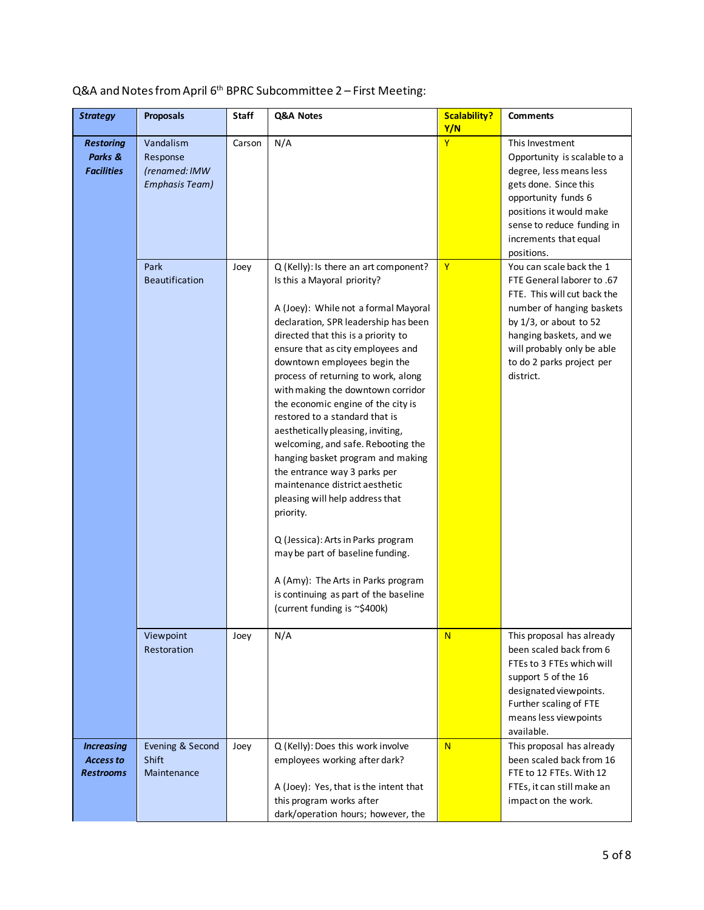## Q&A and Notes from April 6<sup>th</sup> BPRC Subcommittee 2 – First Meeting:

| <b>Strategy</b>                                           | <b>Proposals</b>                                                | Staff  | Q&A Notes                                                                                                                                                                                                                                                                                                                                                                                                                                                                                                                                                                                                                                                                                                                                                                                                                                       | <b>Scalability?</b><br>Y/N | <b>Comments</b>                                                                                                                                                                                                                                    |
|-----------------------------------------------------------|-----------------------------------------------------------------|--------|-------------------------------------------------------------------------------------------------------------------------------------------------------------------------------------------------------------------------------------------------------------------------------------------------------------------------------------------------------------------------------------------------------------------------------------------------------------------------------------------------------------------------------------------------------------------------------------------------------------------------------------------------------------------------------------------------------------------------------------------------------------------------------------------------------------------------------------------------|----------------------------|----------------------------------------------------------------------------------------------------------------------------------------------------------------------------------------------------------------------------------------------------|
| <b>Restoring</b><br>Parks &<br><b>Facilities</b>          | Vandalism<br>Response<br>(renamed: IMW<br><b>Emphasis Team)</b> | Carson | N/A                                                                                                                                                                                                                                                                                                                                                                                                                                                                                                                                                                                                                                                                                                                                                                                                                                             | Y                          | This Investment<br>Opportunity is scalable to a<br>degree, less means less<br>gets done. Since this<br>opportunity funds 6<br>positions it would make<br>sense to reduce funding in<br>increments that equal<br>positions.                         |
|                                                           | Park<br><b>Beautification</b>                                   | Joey   | Q (Kelly): Is there an art component?<br>Is this a Mayoral priority?<br>A (Joey): While not a formal Mayoral<br>declaration, SPR leadership has been<br>directed that this is a priority to<br>ensure that as city employees and<br>downtown employees begin the<br>process of returning to work, along<br>with making the downtown corridor<br>the economic engine of the city is<br>restored to a standard that is<br>aesthetically pleasing, inviting,<br>welcoming, and safe. Rebooting the<br>hanging basket program and making<br>the entrance way 3 parks per<br>maintenance district aesthetic<br>pleasing will help address that<br>priority.<br>Q (Jessica): Arts in Parks program<br>may be part of baseline funding.<br>A (Amy): The Arts in Parks program<br>is continuing as part of the baseline<br>(current funding is ~\$400k) | $\mathsf{Y}$               | You can scale back the 1<br>FTE General laborer to .67<br>FTE. This will cut back the<br>number of hanging baskets<br>by $1/3$ , or about to 52<br>hanging baskets, and we<br>will probably only be able<br>to do 2 parks project per<br>district. |
|                                                           | Viewpoint<br>Restoration                                        | Joey   | N/A                                                                                                                                                                                                                                                                                                                                                                                                                                                                                                                                                                                                                                                                                                                                                                                                                                             | N                          | This proposal has already<br>been scaled back from 6<br>FTEs to 3 FTEs which will<br>support 5 of the 16<br>designated viewpoints.<br>Further scaling of FTE<br>means less viewpoints<br>available.                                                |
| <b>Increasing</b><br><b>Access to</b><br><b>Restrooms</b> | Evening & Second<br>Shift<br>Maintenance                        | Joey   | Q (Kelly): Does this work involve<br>employees working after dark?<br>A (Joey): Yes, that is the intent that<br>this program works after<br>dark/operation hours; however, the                                                                                                                                                                                                                                                                                                                                                                                                                                                                                                                                                                                                                                                                  | N                          | This proposal has already<br>been scaled back from 16<br>FTE to 12 FTEs. With 12<br>FTEs, it can still make an<br>impact on the work.                                                                                                              |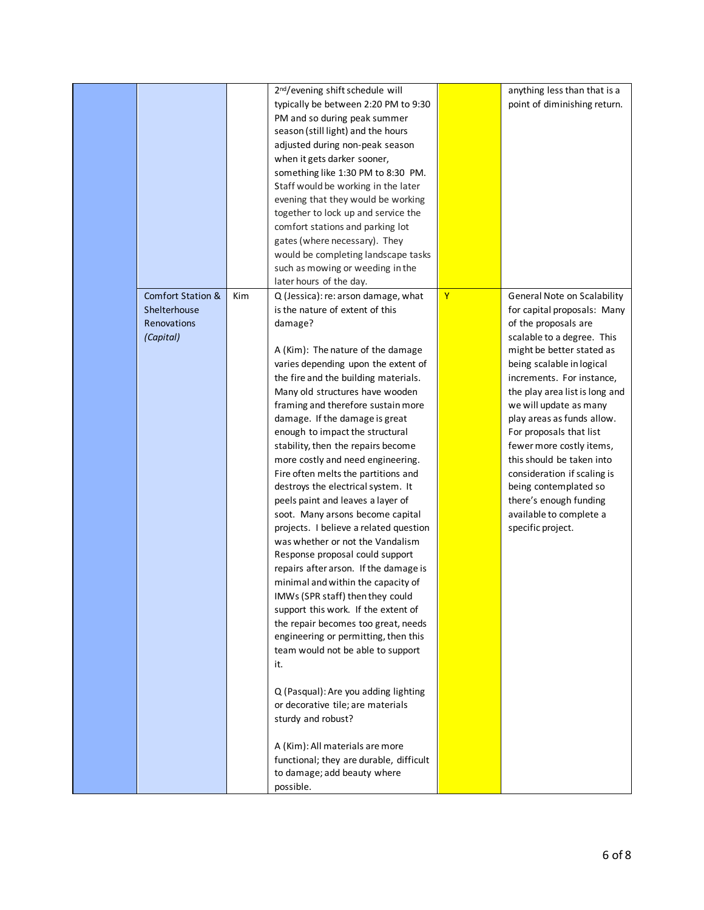|                                                                          |     | 2 <sup>nd</sup> /evening shift schedule will<br>typically be between 2:20 PM to 9:30<br>PM and so during peak summer<br>season (still light) and the hours<br>adjusted during non-peak season<br>when it gets darker sooner,<br>something like 1:30 PM to 8:30 PM.<br>Staff would be working in the later<br>evening that they would be working<br>together to lock up and service the<br>comfort stations and parking lot<br>gates (where necessary). They<br>would be completing landscape tasks<br>such as mowing or weeding in the<br>later hours of the day.                                                                                                                                                                                                                                                                                                                                                                                                                                                                                                                                                                                                                                                       |              | anything less than that is a<br>point of diminishing return.                                                                                                                                                                                                                                                                                                                                                                                                                                                            |
|--------------------------------------------------------------------------|-----|-------------------------------------------------------------------------------------------------------------------------------------------------------------------------------------------------------------------------------------------------------------------------------------------------------------------------------------------------------------------------------------------------------------------------------------------------------------------------------------------------------------------------------------------------------------------------------------------------------------------------------------------------------------------------------------------------------------------------------------------------------------------------------------------------------------------------------------------------------------------------------------------------------------------------------------------------------------------------------------------------------------------------------------------------------------------------------------------------------------------------------------------------------------------------------------------------------------------------|--------------|-------------------------------------------------------------------------------------------------------------------------------------------------------------------------------------------------------------------------------------------------------------------------------------------------------------------------------------------------------------------------------------------------------------------------------------------------------------------------------------------------------------------------|
| <b>Comfort Station &amp;</b><br>Shelterhouse<br>Renovations<br>(Capital) | Kim | Q (Jessica): re: arson damage, what<br>is the nature of extent of this<br>damage?<br>A (Kim): The nature of the damage<br>varies depending upon the extent of<br>the fire and the building materials.<br>Many old structures have wooden<br>framing and therefore sustain more<br>damage. If the damage is great<br>enough to impact the structural<br>stability, then the repairs become<br>more costly and need engineering.<br>Fire often melts the partitions and<br>destroys the electrical system. It<br>peels paint and leaves a layer of<br>soot. Many arsons become capital<br>projects. I believe a related question<br>was whether or not the Vandalism<br>Response proposal could support<br>repairs after arson. If the damage is<br>minimal and within the capacity of<br>IMWs (SPR staff) then they could<br>support this work. If the extent of<br>the repair becomes too great, needs<br>engineering or permitting, then this<br>team would not be able to support<br>it.<br>Q (Pasqual): Are you adding lighting<br>or decorative tile; are materials<br>sturdy and robust?<br>A (Kim): All materials are more<br>functional; they are durable, difficult<br>to damage; add beauty where<br>possible. | $\mathbf{Y}$ | General Note on Scalability<br>for capital proposals: Many<br>of the proposals are<br>scalable to a degree. This<br>might be better stated as<br>being scalable in logical<br>increments. For instance,<br>the play area list is long and<br>we will update as many<br>play areas as funds allow.<br>For proposals that list<br>fewer more costly items,<br>this should be taken into<br>consideration if scaling is<br>being contemplated so<br>there's enough funding<br>available to complete a<br>specific project. |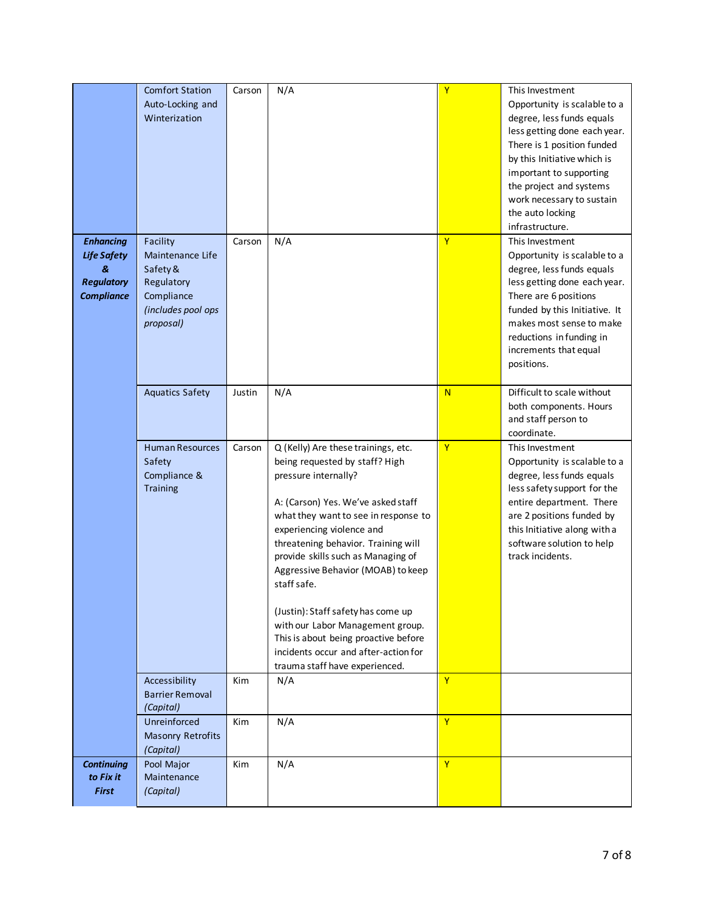|                                                                                       | <b>Comfort Station</b><br>Auto-Locking and<br>Winterization                                             | Carson     | N/A                                                                                                                                                                                                                                                                                                                                                                                                                                                                                                                                    | Y              | This Investment<br>Opportunity is scalable to a<br>degree, less funds equals<br>less getting done each year.<br>There is 1 position funded<br>by this Initiative which is<br>important to supporting<br>the project and systems<br>work necessary to sustain<br>the auto locking<br>infrastructure. |
|---------------------------------------------------------------------------------------|---------------------------------------------------------------------------------------------------------|------------|----------------------------------------------------------------------------------------------------------------------------------------------------------------------------------------------------------------------------------------------------------------------------------------------------------------------------------------------------------------------------------------------------------------------------------------------------------------------------------------------------------------------------------------|----------------|-----------------------------------------------------------------------------------------------------------------------------------------------------------------------------------------------------------------------------------------------------------------------------------------------------|
| <b>Enhancing</b><br><b>Life Safety</b><br>&<br><b>Regulatory</b><br><b>Compliance</b> | Facility<br>Maintenance Life<br>Safety &<br>Regulatory<br>Compliance<br>(includes pool ops<br>proposal) | Carson     | N/A                                                                                                                                                                                                                                                                                                                                                                                                                                                                                                                                    | Y              | This Investment<br>Opportunity is scalable to a<br>degree, less funds equals<br>less getting done each year.<br>There are 6 positions<br>funded by this Initiative. It<br>makes most sense to make<br>reductions in funding in<br>increments that equal<br>positions.                               |
|                                                                                       | <b>Aquatics Safety</b>                                                                                  | Justin     | N/A                                                                                                                                                                                                                                                                                                                                                                                                                                                                                                                                    | N              | Difficult to scale without<br>both components. Hours<br>and staff person to<br>coordinate.                                                                                                                                                                                                          |
|                                                                                       | <b>Human Resources</b><br>Safety<br>Compliance &<br>Training                                            | Carson     | Q (Kelly) Are these trainings, etc.<br>being requested by staff? High<br>pressure internally?<br>A: (Carson) Yes. We've asked staff<br>what they want to see in response to<br>experiencing violence and<br>threatening behavior. Training will<br>provide skills such as Managing of<br>Aggressive Behavior (MOAB) to keep<br>staff safe.<br>(Justin): Staff safety has come up<br>with our Labor Management group.<br>This is about being proactive before<br>incidents occur and after-action for<br>trauma staff have experienced. | Y              | This Investment<br>Opportunity is scalable to a<br>degree, less funds equals<br>less safety support for the<br>entire department. There<br>are 2 positions funded by<br>this Initiative along with a<br>software solution to help<br>track incidents.                                               |
|                                                                                       | Accessibility<br><b>Barrier Removal</b><br>(Capital)                                                    | Kim        | N/A                                                                                                                                                                                                                                                                                                                                                                                                                                                                                                                                    | $\mathbf{Y}$   |                                                                                                                                                                                                                                                                                                     |
|                                                                                       | Unreinforced<br><b>Masonry Retrofits</b><br>(Capital)                                                   | Kim        | N/A                                                                                                                                                                                                                                                                                                                                                                                                                                                                                                                                    | $\overline{Y}$ |                                                                                                                                                                                                                                                                                                     |
| <b>Continuing</b><br>to Fix it<br><b>First</b>                                        | Pool Major<br>Maintenance<br>(Capital)                                                                  | <b>Kim</b> | N/A                                                                                                                                                                                                                                                                                                                                                                                                                                                                                                                                    | $\mathbf{Y}$   |                                                                                                                                                                                                                                                                                                     |